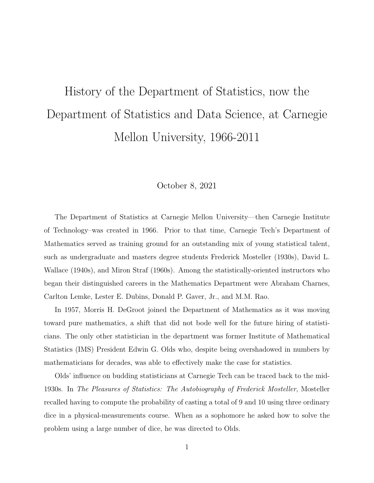## History of the Department of Statistics, now the Department of Statistics and Data Science, at Carnegie Mellon University, 1966-2011

## October 8, 2021

The Department of Statistics at Carnegie Mellon University—then Carnegie Institute of Technology–was created in 1966. Prior to that time, Carnegie Tech's Department of Mathematics served as training ground for an outstanding mix of young statistical talent, such as undergraduate and masters degree students Frederick Mosteller (1930s), David L. Wallace (1940s), and Miron Straf (1960s). Among the statistically-oriented instructors who began their distinguished careers in the Mathematics Department were Abraham Charnes, Carlton Lemke, Lester E. Dubins, Donald P. Gaver, Jr., and M.M. Rao.

In 1957, Morris H. DeGroot joined the Department of Mathematics as it was moving toward pure mathematics, a shift that did not bode well for the future hiring of statisticians. The only other statistician in the department was former Institute of Mathematical Statistics (IMS) President Edwin G. Olds who, despite being overshadowed in numbers by mathematicians for decades, was able to effectively make the case for statistics.

Olds' influence on budding statisticians at Carnegie Tech can be traced back to the mid-1930s. In The Pleasures of Statistics: The Autobiography of Frederick Mosteller, Mosteller recalled having to compute the probability of casting a total of 9 and 10 using three ordinary dice in a physical-measurements course. When as a sophomore he asked how to solve the problem using a large number of dice, he was directed to Olds.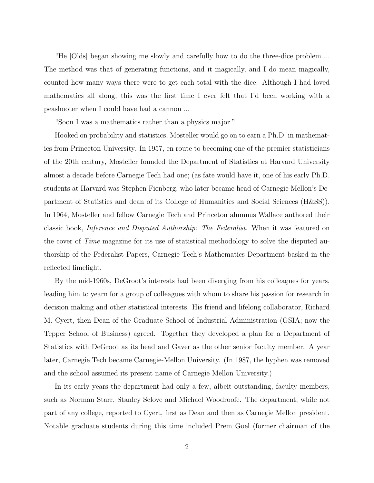"He [Olds] began showing me slowly and carefully how to do the three-dice problem ... The method was that of generating functions, and it magically, and I do mean magically, counted how many ways there were to get each total with the dice. Although I had loved mathematics all along, this was the first time I ever felt that I'd been working with a peashooter when I could have had a cannon ...

"Soon I was a mathematics rather than a physics major."

Hooked on probability and statistics, Mosteller would go on to earn a Ph.D. in mathematics from Princeton University. In 1957, en route to becoming one of the premier statisticians of the 20th century, Mosteller founded the Department of Statistics at Harvard University almost a decade before Carnegie Tech had one; (as fate would have it, one of his early Ph.D. students at Harvard was Stephen Fienberg, who later became head of Carnegie Mellon's Department of Statistics and dean of its College of Humanities and Social Sciences (H&SS)). In 1964, Mosteller and fellow Carnegie Tech and Princeton alumnus Wallace authored their classic book, Inference and Disputed Authorship: The Federalist. When it was featured on the cover of Time magazine for its use of statistical methodology to solve the disputed authorship of the Federalist Papers, Carnegie Tech's Mathematics Department basked in the reflected limelight.

By the mid-1960s, DeGroot's interests had been diverging from his colleagues for years, leading him to yearn for a group of colleagues with whom to share his passion for research in decision making and other statistical interests. His friend and lifelong collaborator, Richard M. Cyert, then Dean of the Graduate School of Industrial Administration (GSIA; now the Tepper School of Business) agreed. Together they developed a plan for a Department of Statistics with DeGroot as its head and Gaver as the other senior faculty member. A year later, Carnegie Tech became Carnegie-Mellon University. (In 1987, the hyphen was removed and the school assumed its present name of Carnegie Mellon University.)

In its early years the department had only a few, albeit outstanding, faculty members, such as Norman Starr, Stanley Sclove and Michael Woodroofe. The department, while not part of any college, reported to Cyert, first as Dean and then as Carnegie Mellon president. Notable graduate students during this time included Prem Goel (former chairman of the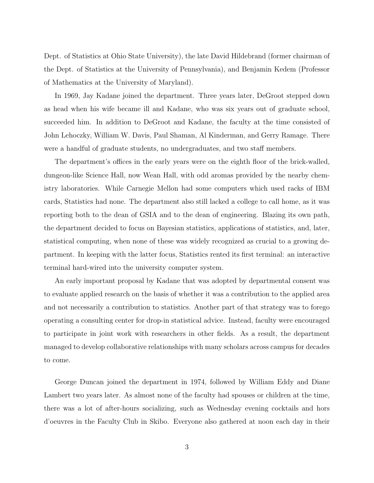Dept. of Statistics at Ohio State University), the late David Hildebrand (former chairman of the Dept. of Statistics at the University of Pennsylvania), and Benjamin Kedem (Professor of Mathematics at the University of Maryland).

In 1969, Jay Kadane joined the department. Three years later, DeGroot stepped down as head when his wife became ill and Kadane, who was six years out of graduate school, succeeded him. In addition to DeGroot and Kadane, the faculty at the time consisted of John Lehoczky, William W. Davis, Paul Shaman, Al Kinderman, and Gerry Ramage. There were a handful of graduate students, no undergraduates, and two staff members.

The department's offices in the early years were on the eighth floor of the brick-walled, dungeon-like Science Hall, now Wean Hall, with odd aromas provided by the nearby chemistry laboratories. While Carnegie Mellon had some computers which used racks of IBM cards, Statistics had none. The department also still lacked a college to call home, as it was reporting both to the dean of GSIA and to the dean of engineering. Blazing its own path, the department decided to focus on Bayesian statistics, applications of statistics, and, later, statistical computing, when none of these was widely recognized as crucial to a growing department. In keeping with the latter focus, Statistics rented its first terminal: an interactive terminal hard-wired into the university computer system.

An early important proposal by Kadane that was adopted by departmental consent was to evaluate applied research on the basis of whether it was a contribution to the applied area and not necessarily a contribution to statistics. Another part of that strategy was to forego operating a consulting center for drop-in statistical advice. Instead, faculty were encouraged to participate in joint work with researchers in other fields. As a result, the department managed to develop collaborative relationships with many scholars across campus for decades to come.

George Duncan joined the department in 1974, followed by William Eddy and Diane Lambert two years later. As almost none of the faculty had spouses or children at the time, there was a lot of after-hours socializing, such as Wednesday evening cocktails and hors d'oeuvres in the Faculty Club in Skibo. Everyone also gathered at noon each day in their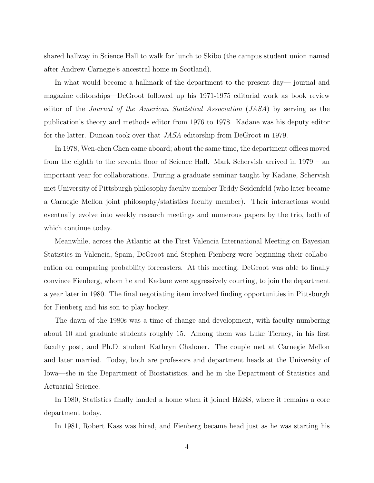shared hallway in Science Hall to walk for lunch to Skibo (the campus student union named after Andrew Carnegie's ancestral home in Scotland).

In what would become a hallmark of the department to the present day— journal and magazine editorships—DeGroot followed up his 1971-1975 editorial work as book review editor of the Journal of the American Statistical Association (JASA) by serving as the publication's theory and methods editor from 1976 to 1978. Kadane was his deputy editor for the latter. Duncan took over that JASA editorship from DeGroot in 1979.

In 1978, Wen-chen Chen came aboard; about the same time, the department offices moved from the eighth to the seventh floor of Science Hall. Mark Schervish arrived in 1979 – an important year for collaborations. During a graduate seminar taught by Kadane, Schervish met University of Pittsburgh philosophy faculty member Teddy Seidenfeld (who later became a Carnegie Mellon joint philosophy/statistics faculty member). Their interactions would eventually evolve into weekly research meetings and numerous papers by the trio, both of which continue today.

Meanwhile, across the Atlantic at the First Valencia International Meeting on Bayesian Statistics in Valencia, Spain, DeGroot and Stephen Fienberg were beginning their collaboration on comparing probability forecasters. At this meeting, DeGroot was able to finally convince Fienberg, whom he and Kadane were aggressively courting, to join the department a year later in 1980. The final negotiating item involved finding opportunities in Pittsburgh for Fienberg and his son to play hockey.

The dawn of the 1980s was a time of change and development, with faculty numbering about 10 and graduate students roughly 15. Among them was Luke Tierney, in his first faculty post, and Ph.D. student Kathryn Chaloner. The couple met at Carnegie Mellon and later married. Today, both are professors and department heads at the University of Iowa—she in the Department of Biostatistics, and he in the Department of Statistics and Actuarial Science.

In 1980, Statistics finally landed a home when it joined H&SS, where it remains a core department today.

In 1981, Robert Kass was hired, and Fienberg became head just as he was starting his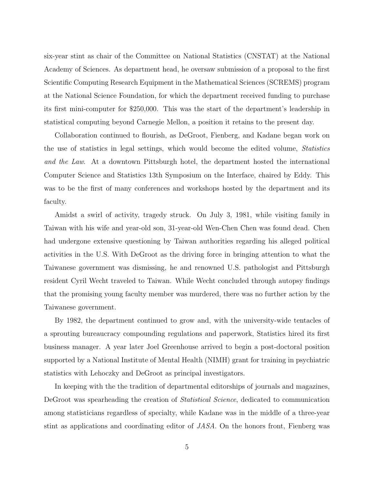six-year stint as chair of the Committee on National Statistics (CNSTAT) at the National Academy of Sciences. As department head, he oversaw submission of a proposal to the first Scientific Computing Research Equipment in the Mathematical Sciences (SCREMS) program at the National Science Foundation, for which the department received funding to purchase its first mini-computer for \$250,000. This was the start of the department's leadership in statistical computing beyond Carnegie Mellon, a position it retains to the present day.

Collaboration continued to flourish, as DeGroot, Fienberg, and Kadane began work on the use of statistics in legal settings, which would become the edited volume, Statistics and the Law. At a downtown Pittsburgh hotel, the department hosted the international Computer Science and Statistics 13th Symposium on the Interface, chaired by Eddy. This was to be the first of many conferences and workshops hosted by the department and its faculty.

Amidst a swirl of activity, tragedy struck. On July 3, 1981, while visiting family in Taiwan with his wife and year-old son, 31-year-old Wen-Chen Chen was found dead. Chen had undergone extensive questioning by Taiwan authorities regarding his alleged political activities in the U.S. With DeGroot as the driving force in bringing attention to what the Taiwanese government was dismissing, he and renowned U.S. pathologist and Pittsburgh resident Cyril Wecht traveled to Taiwan. While Wecht concluded through autopsy findings that the promising young faculty member was murdered, there was no further action by the Taiwanese government.

By 1982, the department continued to grow and, with the university-wide tentacles of a sprouting bureaucracy compounding regulations and paperwork, Statistics hired its first business manager. A year later Joel Greenhouse arrived to begin a post-doctoral position supported by a National Institute of Mental Health (NIMH) grant for training in psychiatric statistics with Lehoczky and DeGroot as principal investigators.

In keeping with the the tradition of departmental editorships of journals and magazines, DeGroot was spearheading the creation of *Statistical Science*, dedicated to communication among statisticians regardless of specialty, while Kadane was in the middle of a three-year stint as applications and coordinating editor of JASA. On the honors front, Fienberg was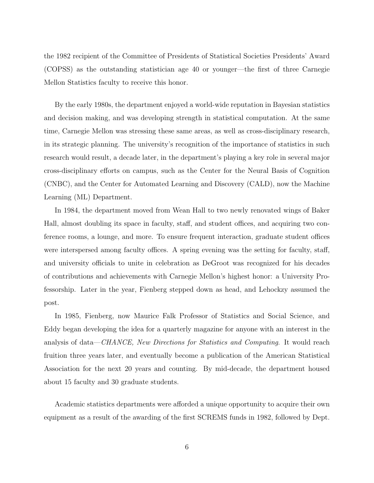the 1982 recipient of the Committee of Presidents of Statistical Societies Presidents' Award (COPSS) as the outstanding statistician age 40 or younger—the first of three Carnegie Mellon Statistics faculty to receive this honor.

By the early 1980s, the department enjoyed a world-wide reputation in Bayesian statistics and decision making, and was developing strength in statistical computation. At the same time, Carnegie Mellon was stressing these same areas, as well as cross-disciplinary research, in its strategic planning. The university's recognition of the importance of statistics in such research would result, a decade later, in the department's playing a key role in several major cross-disciplinary efforts on campus, such as the Center for the Neural Basis of Cognition (CNBC), and the Center for Automated Learning and Discovery (CALD), now the Machine Learning (ML) Department.

In 1984, the department moved from Wean Hall to two newly renovated wings of Baker Hall, almost doubling its space in faculty, staff, and student offices, and acquiring two conference rooms, a lounge, and more. To ensure frequent interaction, graduate student offices were interspersed among faculty offices. A spring evening was the setting for faculty, staff, and university officials to unite in celebration as DeGroot was recognized for his decades of contributions and achievements with Carnegie Mellon's highest honor: a University Professorship. Later in the year, Fienberg stepped down as head, and Lehockzy assumed the post.

In 1985, Fienberg, now Maurice Falk Professor of Statistics and Social Science, and Eddy began developing the idea for a quarterly magazine for anyone with an interest in the analysis of data—*CHANCE*, New Directions for Statistics and Computing. It would reach fruition three years later, and eventually become a publication of the American Statistical Association for the next 20 years and counting. By mid-decade, the department housed about 15 faculty and 30 graduate students.

Academic statistics departments were afforded a unique opportunity to acquire their own equipment as a result of the awarding of the first SCREMS funds in 1982, followed by Dept.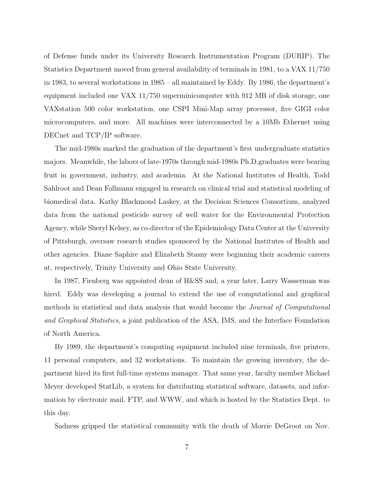of Defense funds under its University Research Instrumentation Program (DURIP). The Statistics Department moved from general availability of terminals in 1981, to a VAX 11/750 in 1983, to several workstations in 1985 – all maintained by Eddy. By 1986, the department's equipment included one VAX 11/750 superminicomputer with 912 MB of disk storage, one VAXstation 500 color workstation, one CSPI Mini-Map array processor, five GIGI color microcomputers, and more. All machines were interconnected by a 10Mb Ethernet using DECnet and TCP/IP software.

The mid-1980s marked the graduation of the department's first undergraduate statistics majors. Meanwhile, the labors of late-1970s through mid-1980s Ph.D.graduates were bearing fruit in government, industry, and academia. At the National Institutes of Health, Todd Sahlroot and Dean Follmann engaged in research on clinical trial and statistical modeling of biomedical data. Kathy Blackmond Laskey, at the Decision Sciences Consortium, analyzed data from the national pesticide survey of well water for the Environmental Protection Agency, while Sheryl Kelsey, as co-director of the Epidemiology Data Center at the University of Pittsburgh, oversaw research studies sponsored by the National Institutes of Health and other agencies. Diane Saphire and Elizabeth Stasny were beginning their academic careers at, respectively, Trinity University and Ohio State University.

In 1987, Fienberg was appointed dean of H&SS and, a year later, Larry Wasserman was hired. Eddy was developing a journal to extend the use of computational and graphical methods in statistical and data analysis that would become the Journal of Computational and Graphical Statistics, a joint publication of the ASA, IMS, and the Interface Foundation of North America.

By 1989, the department's computing equipment included nine terminals, five printers, 11 personal computers, and 32 workstations. To maintain the growing inventory, the department hired its first full-time systems manager. That same year, faculty member Michael Meyer developed StatLib, a system for distributing statistical software, datasets, and information by electronic mail, FTP, and WWW, and which is hosted by the Statistics Dept. to this day.

Sadness gripped the statistical community with the death of Morrie DeGroot on Nov.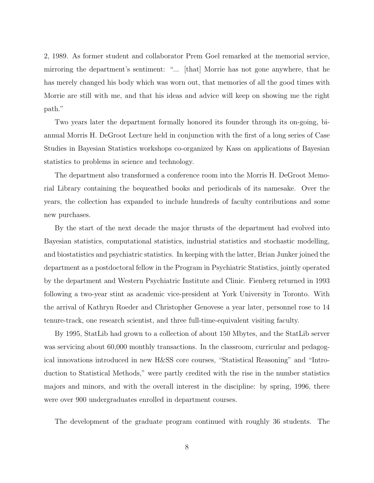2, 1989. As former student and collaborator Prem Goel remarked at the memorial service, mirroring the department's sentiment: "... [that] Morrie has not gone anywhere, that he has merely changed his body which was worn out, that memories of all the good times with Morrie are still with me, and that his ideas and advice will keep on showing me the right path."

Two years later the department formally honored its founder through its on-going, biannual Morris H. DeGroot Lecture held in conjunction with the first of a long series of Case Studies in Bayesian Statistics workshops co-organized by Kass on applications of Bayesian statistics to problems in science and technology.

The department also transformed a conference room into the Morris H. DeGroot Memorial Library containing the bequeathed books and periodicals of its namesake. Over the years, the collection has expanded to include hundreds of faculty contributions and some new purchases.

By the start of the next decade the major thrusts of the department had evolved into Bayesian statistics, computational statistics, industrial statistics and stochastic modelling, and biostatistics and psychiatric statistics. In keeping with the latter, Brian Junker joined the department as a postdoctoral fellow in the Program in Psychiatric Statistics, jointly operated by the department and Western Psychiatric Institute and Clinic. Fienberg returned in 1993 following a two-year stint as academic vice-president at York University in Toronto. With the arrival of Kathryn Roeder and Christopher Genovese a year later, personnel rose to 14 tenure-track, one research scientist, and three full-time-equivalent visiting faculty.

By 1995, StatLib had grown to a collection of about 150 Mbytes, and the StatLib server was servicing about 60,000 monthly transactions. In the classroom, curricular and pedagogical innovations introduced in new H&SS core courses, "Statistical Reasoning" and "Introduction to Statistical Methods," were partly credited with the rise in the number statistics majors and minors, and with the overall interest in the discipline: by spring, 1996, there were over 900 undergraduates enrolled in department courses.

The development of the graduate program continued with roughly 36 students. The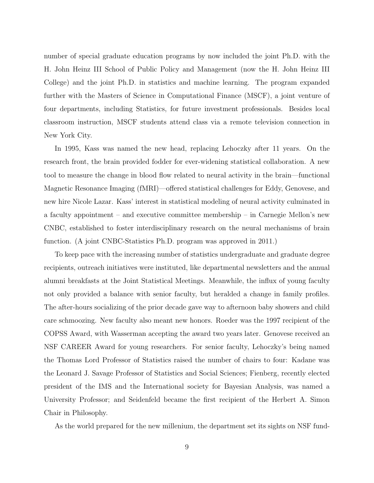number of special graduate education programs by now included the joint Ph.D. with the H. John Heinz III School of Public Policy and Management (now the H. John Heinz III College) and the joint Ph.D. in statistics and machine learning. The program expanded further with the Masters of Science in Computational Finance (MSCF), a joint venture of four departments, including Statistics, for future investment professionals. Besides local classroom instruction, MSCF students attend class via a remote television connection in New York City.

In 1995, Kass was named the new head, replacing Lehoczky after 11 years. On the research front, the brain provided fodder for ever-widening statistical collaboration. A new tool to measure the change in blood flow related to neural activity in the brain—functional Magnetic Resonance Imaging (fMRI)—offered statistical challenges for Eddy, Genovese, and new hire Nicole Lazar. Kass' interest in statistical modeling of neural activity culminated in a faculty appointment – and executive committee membership – in Carnegie Mellon's new CNBC, established to foster interdisciplinary research on the neural mechanisms of brain function. (A joint CNBC-Statistics Ph.D. program was approved in 2011.)

To keep pace with the increasing number of statistics undergraduate and graduate degree recipients, outreach initiatives were instituted, like departmental newsletters and the annual alumni breakfasts at the Joint Statistical Meetings. Meanwhile, the influx of young faculty not only provided a balance with senior faculty, but heralded a change in family profiles. The after-hours socializing of the prior decade gave way to afternoon baby showers and child care schmoozing. New faculty also meant new honors. Roeder was the 1997 recipient of the COPSS Award, with Wasserman accepting the award two years later. Genovese received an NSF CAREER Award for young researchers. For senior faculty, Lehoczky's being named the Thomas Lord Professor of Statistics raised the number of chairs to four: Kadane was the Leonard J. Savage Professor of Statistics and Social Sciences; Fienberg, recently elected president of the IMS and the International society for Bayesian Analysis, was named a University Professor; and Seidenfeld became the first recipient of the Herbert A. Simon Chair in Philosophy.

As the world prepared for the new millenium, the department set its sights on NSF fund-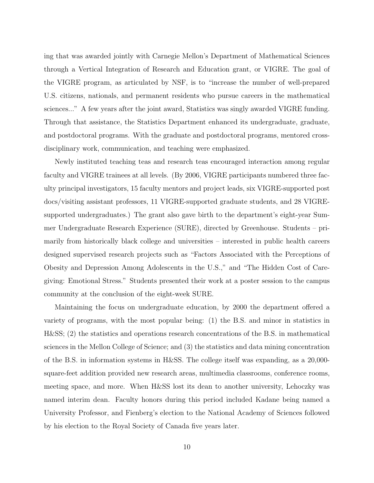ing that was awarded jointly with Carnegie Mellon's Department of Mathematical Sciences through a Vertical Integration of Research and Education grant, or VIGRE. The goal of the VIGRE program, as articulated by NSF, is to "increase the number of well-prepared U.S. citizens, nationals, and permanent residents who pursue careers in the mathematical sciences..." A few years after the joint award, Statistics was singly awarded VIGRE funding. Through that assistance, the Statistics Department enhanced its undergraduate, graduate, and postdoctoral programs. With the graduate and postdoctoral programs, mentored crossdisciplinary work, communication, and teaching were emphasized.

Newly instituted teaching teas and research teas encouraged interaction among regular faculty and VIGRE trainees at all levels. (By 2006, VIGRE participants numbered three faculty principal investigators, 15 faculty mentors and project leads, six VIGRE-supported post docs/visiting assistant professors, 11 VIGRE-supported graduate students, and 28 VIGREsupported undergraduates.) The grant also gave birth to the department's eight-year Summer Undergraduate Research Experience (SURE), directed by Greenhouse. Students – primarily from historically black college and universities – interested in public health careers designed supervised research projects such as "Factors Associated with the Perceptions of Obesity and Depression Among Adolescents in the U.S.," and "The Hidden Cost of Caregiving: Emotional Stress." Students presented their work at a poster session to the campus community at the conclusion of the eight-week SURE.

Maintaining the focus on undergraduate education, by 2000 the department offered a variety of programs, with the most popular being: (1) the B.S. and minor in statistics in H&SS; (2) the statistics and operations research concentrations of the B.S. in mathematical sciences in the Mellon College of Science; and (3) the statistics and data mining concentration of the B.S. in information systems in H&SS. The college itself was expanding, as a 20,000 square-feet addition provided new research areas, multimedia classrooms, conference rooms, meeting space, and more. When H&SS lost its dean to another university, Lehoczky was named interim dean. Faculty honors during this period included Kadane being named a University Professor, and Fienberg's election to the National Academy of Sciences followed by his election to the Royal Society of Canada five years later.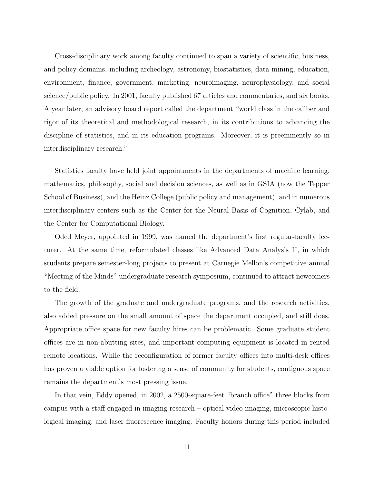Cross-disciplinary work among faculty continued to span a variety of scientific, business, and policy domains, including archeology, astronomy, biostatistics, data mining, education, environment, finance, government, marketing, neuroimaging, neurophysiology, and social science/public policy. In 2001, faculty published 67 articles and commentaries, and six books. A year later, an advisory board report called the department "world class in the caliber and rigor of its theoretical and methodological research, in its contributions to advancing the discipline of statistics, and in its education programs. Moreover, it is preeminently so in interdisciplinary research."

Statistics faculty have held joint appointments in the departments of machine learning, mathematics, philosophy, social and decision sciences, as well as in GSIA (now the Tepper School of Business), and the Heinz College (public policy and management), and in numerous interdisciplinary centers such as the Center for the Neural Basis of Cognition, Cylab, and the Center for Computational Biology.

Oded Meyer, appointed in 1999, was named the department's first regular-faculty lecturer. At the same time, reformulated classes like Advanced Data Analysis II, in which students prepare semester-long projects to present at Carnegie Mellon's competitive annual "Meeting of the Minds" undergraduate research symposium, continued to attract newcomers to the field.

The growth of the graduate and undergraduate programs, and the research activities, also added pressure on the small amount of space the department occupied, and still does. Appropriate office space for new faculty hires can be problematic. Some graduate student offices are in non-abutting sites, and important computing equipment is located in rented remote locations. While the reconfiguration of former faculty offices into multi-desk offices has proven a viable option for fostering a sense of community for students, contiguous space remains the department's most pressing issue.

In that vein, Eddy opened, in 2002, a 2500-square-feet "branch office" three blocks from campus with a staff engaged in imaging research – optical video imaging, microscopic histological imaging, and laser fluorescence imaging. Faculty honors during this period included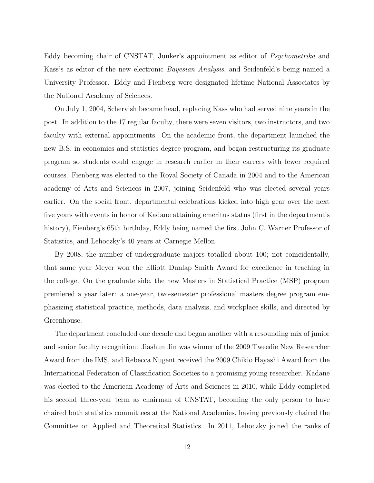Eddy becoming chair of CNSTAT, Junker's appointment as editor of Psychometrika and Kass's as editor of the new electronic Bayesian Analysis, and Seidenfeld's being named a University Professor. Eddy and Fienberg were designated lifetime National Associates by the National Academy of Sciences.

On July 1, 2004, Schervish became head, replacing Kass who had served nine years in the post. In addition to the 17 regular faculty, there were seven visitors, two instructors, and two faculty with external appointments. On the academic front, the department launched the new B.S. in economics and statistics degree program, and began restructuring its graduate program so students could engage in research earlier in their careers with fewer required courses. Fienberg was elected to the Royal Society of Canada in 2004 and to the American academy of Arts and Sciences in 2007, joining Seidenfeld who was elected several years earlier. On the social front, departmental celebrations kicked into high gear over the next five years with events in honor of Kadane attaining emeritus status (first in the department's history), Fienberg's 65th birthday, Eddy being named the first John C. Warner Professor of Statistics, and Lehoczky's 40 years at Carnegie Mellon.

By 2008, the number of undergraduate majors totalled about 100; not coincidentally, that same year Meyer won the Elliott Dunlap Smith Award for excellence in teaching in the college. On the graduate side, the new Masters in Statistical Practice (MSP) program premiered a year later: a one-year, two-semester professional masters degree program emphasizing statistical practice, methods, data analysis, and workplace skills, and directed by Greenhouse.

The department concluded one decade and began another with a resounding mix of junior and senior faculty recognition: Jiashun Jin was winner of the 2009 Tweedie New Researcher Award from the IMS, and Rebecca Nugent received the 2009 Chikio Hayashi Award from the International Federation of Classification Societies to a promising young researcher. Kadane was elected to the American Academy of Arts and Sciences in 2010, while Eddy completed his second three-year term as chairman of CNSTAT, becoming the only person to have chaired both statistics committees at the National Academies, having previously chaired the Committee on Applied and Theoretical Statistics. In 2011, Lehoczky joined the ranks of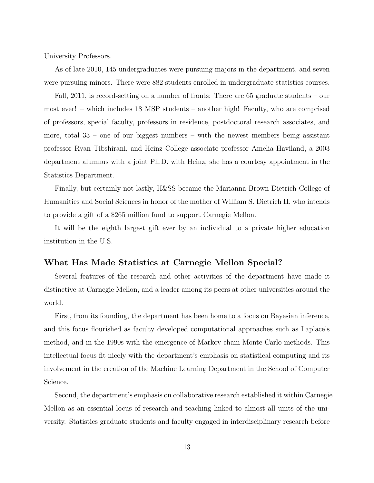University Professors.

As of late 2010, 145 undergraduates were pursuing majors in the department, and seven were pursuing minors. There were 882 students enrolled in undergraduate statistics courses.

Fall, 2011, is record-setting on a number of fronts: There are 65 graduate students – our most ever! – which includes 18 MSP students – another high! Faculty, who are comprised of professors, special faculty, professors in residence, postdoctoral research associates, and more, total  $33$  – one of our biggest numbers – with the newest members being assistant professor Ryan Tibshirani, and Heinz College associate professor Amelia Haviland, a 2003 department alumnus with a joint Ph.D. with Heinz; she has a courtesy appointment in the Statistics Department.

Finally, but certainly not lastly, H&SS became the Marianna Brown Dietrich College of Humanities and Social Sciences in honor of the mother of William S. Dietrich II, who intends to provide a gift of a \$265 million fund to support Carnegie Mellon.

It will be the eighth largest gift ever by an individual to a private higher education institution in the U.S.

## What Has Made Statistics at Carnegie Mellon Special?

Several features of the research and other activities of the department have made it distinctive at Carnegie Mellon, and a leader among its peers at other universities around the world.

First, from its founding, the department has been home to a focus on Bayesian inference, and this focus flourished as faculty developed computational approaches such as Laplace's method, and in the 1990s with the emergence of Markov chain Monte Carlo methods. This intellectual focus fit nicely with the department's emphasis on statistical computing and its involvement in the creation of the Machine Learning Department in the School of Computer Science.

Second, the department's emphasis on collaborative research established it within Carnegie Mellon as an essential locus of research and teaching linked to almost all units of the university. Statistics graduate students and faculty engaged in interdisciplinary research before